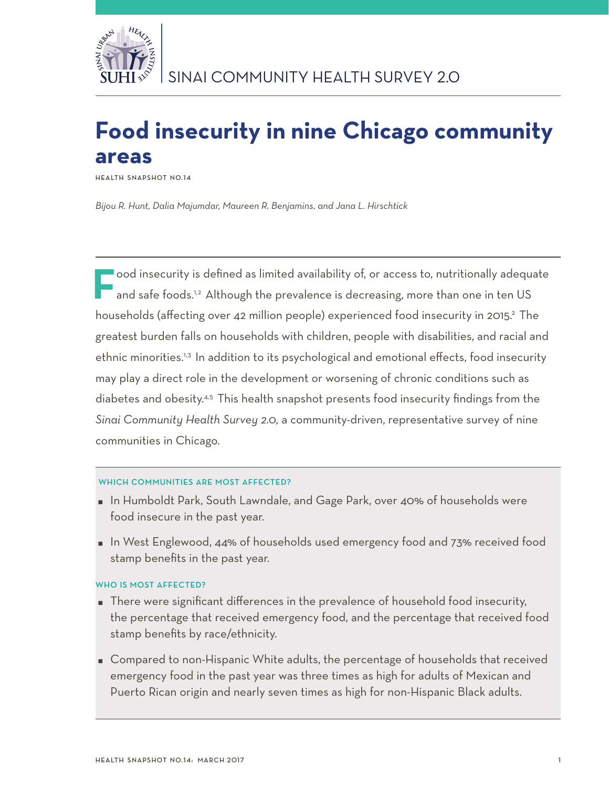

# **Food insecurity in nine Chicago community areas**

**Health Snapshot No.14**

*Bijou R. Hunt, Dalia Majumdar, Maureen R. Benjamins, and Jana L. Hirschtick*

**F**ood insecurity is defined as limited availability of, or access to, nutritionally adequate and safe foods.<sup>1,2</sup> Although the prevalence is decreasing, more than one in ten US households (affecting over 42 million people) experienced food insecurity in 2015.<sup>2</sup> The greatest burden falls on households with children, people with disabilities, and racial and ethnic minorities.<sup>1,3</sup> In addition to its psychological and emotional effects, food insecurity may play a direct role in the development or worsening of chronic conditions such as diabetes and obesity.<sup>4,5</sup> This health snapshot presents food insecurity findings from the *Sinai Community Health Survey 2.0,* a community-driven, representative survey of nine communities in Chicago.

# WHICH COMMUNITIES ARE MOST AFFECTED?

- In Humboldt Park, South Lawndale, and Gage Park, over 40% of households were food insecure in the past year.
- In West Englewood, 44% of households used emergency food and 73% received food stamp benefits in the past year.

# WHO IS MOST AFFECTED?

- There were significant differences in the prevalence of household food insecurity, the percentage that received emergency food, and the percentage that received food stamp benefits by race/ethnicity.
- Compared to non-Hispanic White adults, the percentage of households that received emergency food in the past year was three times as high for adults of Mexican and Puerto Rican origin and nearly seven times as high for non-Hispanic Black adults.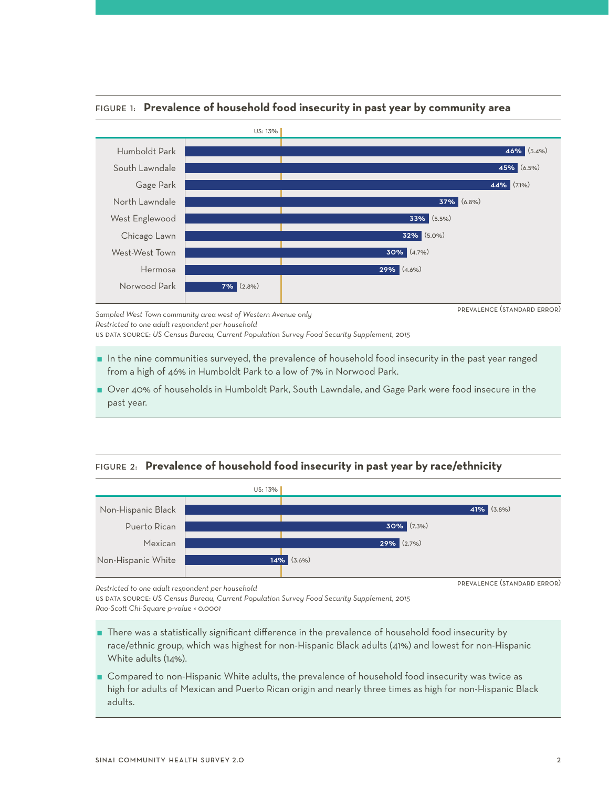

# Figure 1: **Prevalence of household food insecurity in past year by community area**

*Sampled West Town community area west of Western Avenue only Restricted to one adult respondent per household*

us data source: *US Census Bureau, Current Population Survey Food Security Supplement, 2015* 

- $\blacksquare$  In the nine communities surveyed, the prevalence of household food insecurity in the past year ranged from a high of 46% in Humboldt Park to a low of 7% in Norwood Park.
- Over 40% of households in Humboldt Park, South Lawndale, and Gage Park were food insecure in the past year.

# Figure 2: **Prevalence of household food insecurity in past year by race/ethnicity**



prevalence (standard error)

us data source: *US Census Bureau, Current Population Survey Food Security Supplement, 2015 Rao-Scott Chi-Square p-value < 0.0001*

- There was a statistically significant difference in the prevalence of household food insecurity by race/ethnic group, which was highest for non-Hispanic Black adults (41%) and lowest for non-Hispanic White adults (14%).
- Compared to non-Hispanic White adults, the prevalence of household food insecurity was twice as high for adults of Mexican and Puerto Rican origin and nearly three times as high for non-Hispanic Black adults.

*Restricted to one adult respondent per household*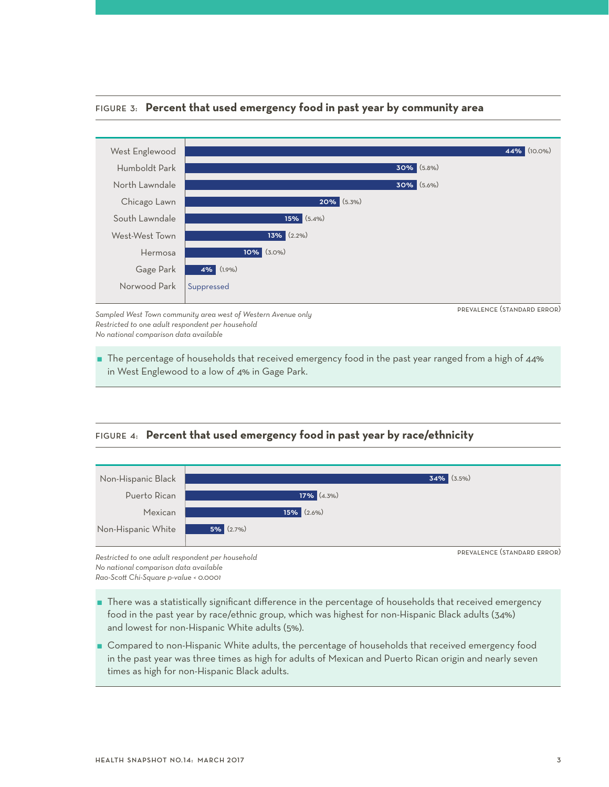

#### Figure 3: **Percent that used emergency food in past year by community area**

*Sampled West Town community area west of Western Avenue only Restricted to one adult respondent per household No national comparison data available*

 The percentage of households that received emergency food in the past year ranged from a high of 44% in West Englewood to a low of 4% in Gage Park.

Figure 4: **Percent that used emergency food in past year by race/ethnicity**



*Restricted to one adult respondent per household No national comparison data available*

*Rao-Scott Chi-Square p-value < 0.0001* 

- There was a statistically significant difference in the percentage of households that received emergency food in the past year by race/ethnic group, which was highest for non-Hispanic Black adults (34%) and lowest for non-Hispanic White adults (5%).
- **Compared to non-Hispanic White adults, the percentage of households that received emergency food** in the past year was three times as high for adults of Mexican and Puerto Rican origin and nearly seven times as high for non-Hispanic Black adults.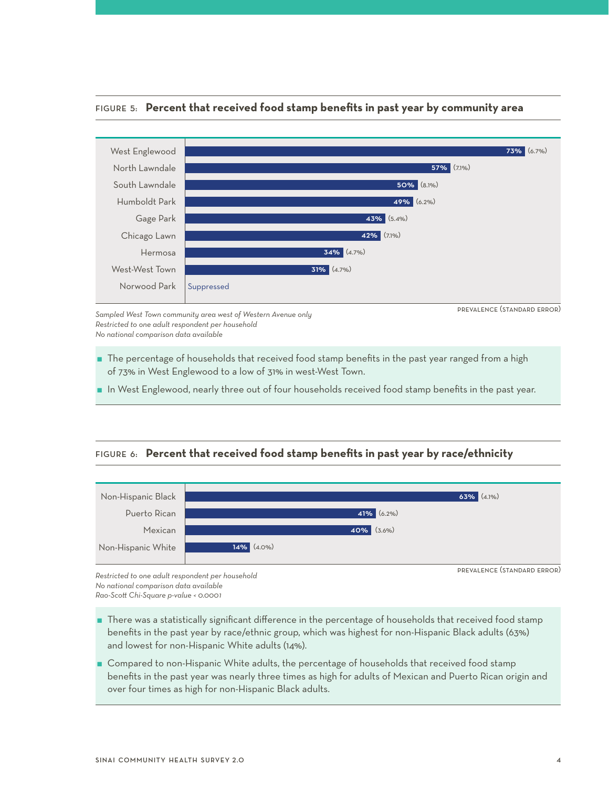

#### Figure 5: **Percent that received food stamp benefits in past year by community area**

*Sampled West Town community area west of Western Avenue only Restricted to one adult respondent per household No national comparison data available*

The percentage of households that received food stamp benefits in the past year ranged from a high of 73% in West Englewood to a low of 31% in west-West Town.

In West Englewood, nearly three out of four households received food stamp benefits in the past year.

# Figure 6: **Percent that received food stamp benefits in past year by race/ethnicity**



*Restricted to one adult respondent per household No national comparison data available Rao-Scott Chi-Square p-value < 0.0001* 

- There was a statistically significant difference in the percentage of households that received food stamp benefits in the past year by race/ethnic group, which was highest for non-Hispanic Black adults (63%) and lowest for non-Hispanic White adults (14%).
- **Compared to non-Hispanic White adults, the percentage of households that received food stamp** benefits in the past year was nearly three times as high for adults of Mexican and Puerto Rican origin and over four times as high for non-Hispanic Black adults.